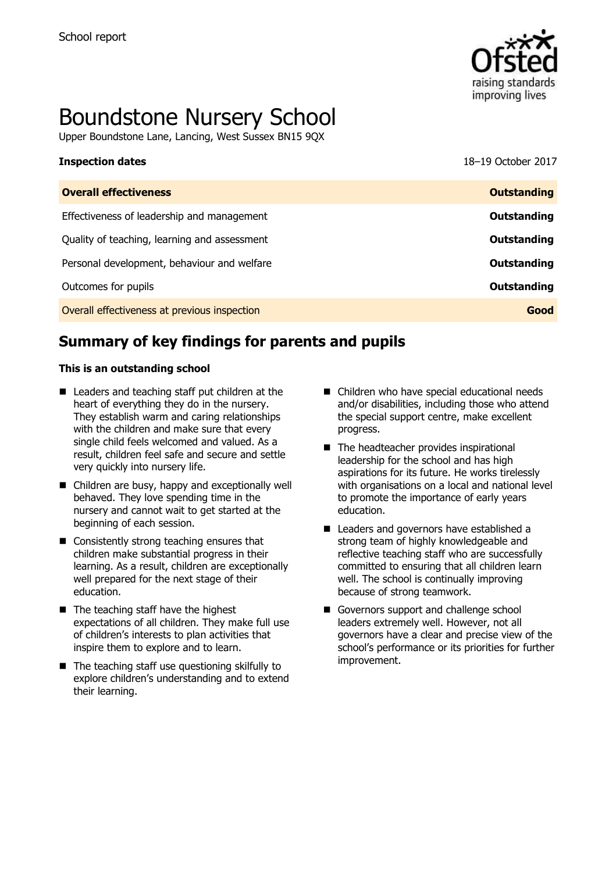

# Boundstone Nursery School

Upper Boundstone Lane, Lancing, West Sussex BN15 9QX

| <b>Inspection dates</b> | 18-19 October 2017 |
|-------------------------|--------------------|
|                         |                    |

| <b>Overall effectiveness</b>                 | <b>Outstanding</b> |
|----------------------------------------------|--------------------|
| Effectiveness of leadership and management   | <b>Outstanding</b> |
| Quality of teaching, learning and assessment | <b>Outstanding</b> |
| Personal development, behaviour and welfare  | <b>Outstanding</b> |
| Outcomes for pupils                          | <b>Outstanding</b> |
| Overall effectiveness at previous inspection | Good               |

# **Summary of key findings for parents and pupils**

### **This is an outstanding school**

- Leaders and teaching staff put children at the heart of everything they do in the nursery. They establish warm and caring relationships with the children and make sure that every single child feels welcomed and valued. As a result, children feel safe and secure and settle very quickly into nursery life.
- Children are busy, happy and exceptionally well behaved. They love spending time in the nursery and cannot wait to get started at the beginning of each session.
- Consistently strong teaching ensures that children make substantial progress in their learning. As a result, children are exceptionally well prepared for the next stage of their education.
- $\blacksquare$  The teaching staff have the highest expectations of all children. They make full use of children's interests to plan activities that inspire them to explore and to learn.
- $\blacksquare$  The teaching staff use questioning skilfully to explore children's understanding and to extend their learning.
- Children who have special educational needs and/or disabilities, including those who attend the special support centre, make excellent progress.
- The headteacher provides inspirational leadership for the school and has high aspirations for its future. He works tirelessly with organisations on a local and national level to promote the importance of early years education.
- Leaders and governors have established a strong team of highly knowledgeable and reflective teaching staff who are successfully committed to ensuring that all children learn well. The school is continually improving because of strong teamwork.
- Governors support and challenge school leaders extremely well. However, not all governors have a clear and precise view of the school's performance or its priorities for further improvement.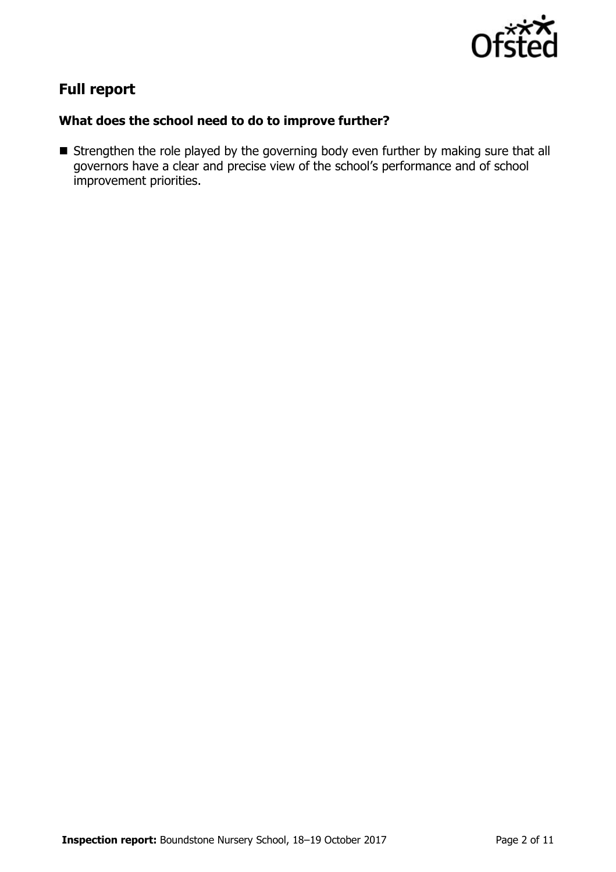

# **Full report**

## **What does the school need to do to improve further?**

Strengthen the role played by the governing body even further by making sure that all governors have a clear and precise view of the school's performance and of school improvement priorities.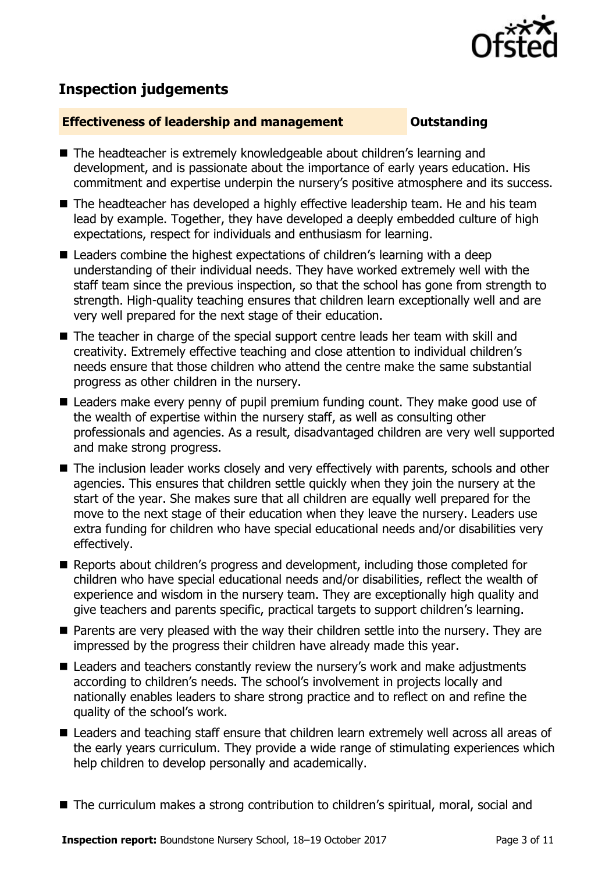

# **Inspection judgements**

### **Effectiveness of leadership and management Constanding**

- The headteacher is extremely knowledgeable about children's learning and development, and is passionate about the importance of early years education. His commitment and expertise underpin the nursery's positive atmosphere and its success.
- The headteacher has developed a highly effective leadership team. He and his team lead by example. Together, they have developed a deeply embedded culture of high expectations, respect for individuals and enthusiasm for learning.
- Leaders combine the highest expectations of children's learning with a deep understanding of their individual needs. They have worked extremely well with the staff team since the previous inspection, so that the school has gone from strength to strength. High-quality teaching ensures that children learn exceptionally well and are very well prepared for the next stage of their education.
- The teacher in charge of the special support centre leads her team with skill and creativity. Extremely effective teaching and close attention to individual children's needs ensure that those children who attend the centre make the same substantial progress as other children in the nursery.
- Leaders make every penny of pupil premium funding count. They make good use of the wealth of expertise within the nursery staff, as well as consulting other professionals and agencies. As a result, disadvantaged children are very well supported and make strong progress.
- The inclusion leader works closely and very effectively with parents, schools and other agencies. This ensures that children settle quickly when they join the nursery at the start of the year. She makes sure that all children are equally well prepared for the move to the next stage of their education when they leave the nursery. Leaders use extra funding for children who have special educational needs and/or disabilities very effectively.
- Reports about children's progress and development, including those completed for children who have special educational needs and/or disabilities, reflect the wealth of experience and wisdom in the nursery team. They are exceptionally high quality and give teachers and parents specific, practical targets to support children's learning.
- **Parents are very pleased with the way their children settle into the nursery. They are** impressed by the progress their children have already made this year.
- Leaders and teachers constantly review the nursery's work and make adjustments according to children's needs. The school's involvement in projects locally and nationally enables leaders to share strong practice and to reflect on and refine the quality of the school's work.
- Leaders and teaching staff ensure that children learn extremely well across all areas of the early years curriculum. They provide a wide range of stimulating experiences which help children to develop personally and academically.
- The curriculum makes a strong contribution to children's spiritual, moral, social and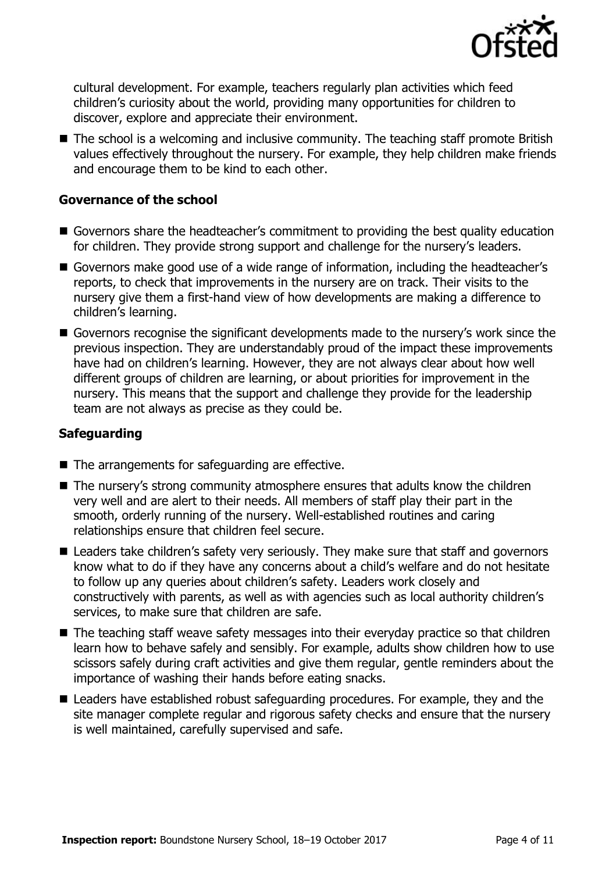

cultural development. For example, teachers regularly plan activities which feed children's curiosity about the world, providing many opportunities for children to discover, explore and appreciate their environment.

■ The school is a welcoming and inclusive community. The teaching staff promote British values effectively throughout the nursery. For example, they help children make friends and encourage them to be kind to each other.

### **Governance of the school**

- Governors share the headteacher's commitment to providing the best quality education for children. They provide strong support and challenge for the nursery's leaders.
- Governors make good use of a wide range of information, including the headteacher's reports, to check that improvements in the nursery are on track. Their visits to the nursery give them a first-hand view of how developments are making a difference to children's learning.
- Governors recognise the significant developments made to the nursery's work since the previous inspection. They are understandably proud of the impact these improvements have had on children's learning. However, they are not always clear about how well different groups of children are learning, or about priorities for improvement in the nursery. This means that the support and challenge they provide for the leadership team are not always as precise as they could be.

### **Safeguarding**

- $\blacksquare$  The arrangements for safeguarding are effective.
- The nursery's strong community atmosphere ensures that adults know the children very well and are alert to their needs. All members of staff play their part in the smooth, orderly running of the nursery. Well-established routines and caring relationships ensure that children feel secure.
- Leaders take children's safety very seriously. They make sure that staff and governors know what to do if they have any concerns about a child's welfare and do not hesitate to follow up any queries about children's safety. Leaders work closely and constructively with parents, as well as with agencies such as local authority children's services, to make sure that children are safe.
- The teaching staff weave safety messages into their everyday practice so that children learn how to behave safely and sensibly. For example, adults show children how to use scissors safely during craft activities and give them regular, gentle reminders about the importance of washing their hands before eating snacks.
- Leaders have established robust safeguarding procedures. For example, they and the site manager complete regular and rigorous safety checks and ensure that the nursery is well maintained, carefully supervised and safe.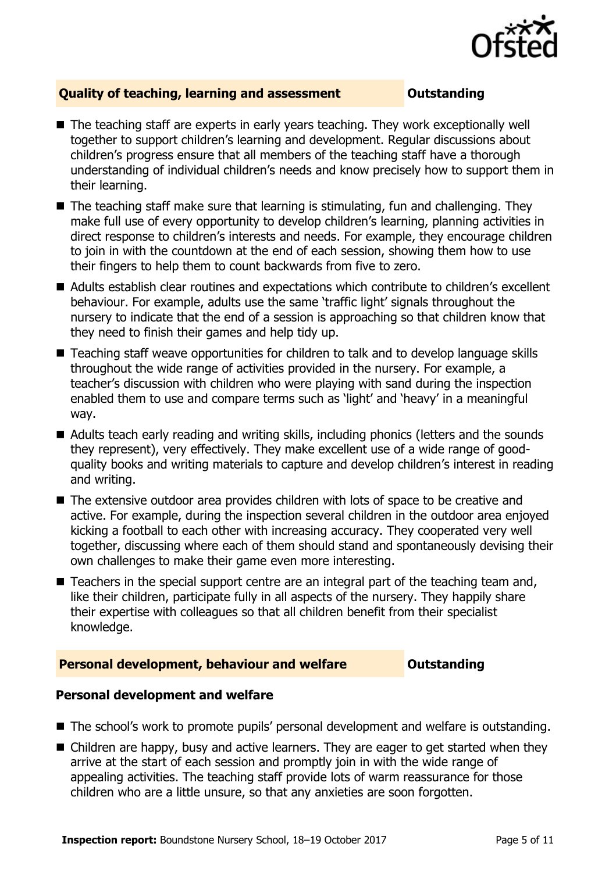

### **Quality of teaching, learning and assessment Outstanding**

- The teaching staff are experts in early years teaching. They work exceptionally well together to support children's learning and development. Regular discussions about children's progress ensure that all members of the teaching staff have a thorough understanding of individual children's needs and know precisely how to support them in their learning.
- $\blacksquare$  The teaching staff make sure that learning is stimulating, fun and challenging. They make full use of every opportunity to develop children's learning, planning activities in direct response to children's interests and needs. For example, they encourage children to join in with the countdown at the end of each session, showing them how to use their fingers to help them to count backwards from five to zero.
- Adults establish clear routines and expectations which contribute to children's excellent behaviour. For example, adults use the same 'traffic light' signals throughout the nursery to indicate that the end of a session is approaching so that children know that they need to finish their games and help tidy up.
- Teaching staff weave opportunities for children to talk and to develop language skills throughout the wide range of activities provided in the nursery. For example, a teacher's discussion with children who were playing with sand during the inspection enabled them to use and compare terms such as 'light' and 'heavy' in a meaningful way.
- Adults teach early reading and writing skills, including phonics (letters and the sounds they represent), very effectively. They make excellent use of a wide range of goodquality books and writing materials to capture and develop children's interest in reading and writing.
- The extensive outdoor area provides children with lots of space to be creative and active. For example, during the inspection several children in the outdoor area enjoyed kicking a football to each other with increasing accuracy. They cooperated very well together, discussing where each of them should stand and spontaneously devising their own challenges to make their game even more interesting.
- Teachers in the special support centre are an integral part of the teaching team and, like their children, participate fully in all aspects of the nursery. They happily share their expertise with colleagues so that all children benefit from their specialist knowledge.

### **Personal development, behaviour and welfare <b>COUTS** Outstanding

### **Personal development and welfare**

- The school's work to promote pupils' personal development and welfare is outstanding.
- Children are happy, busy and active learners. They are eager to get started when they arrive at the start of each session and promptly join in with the wide range of appealing activities. The teaching staff provide lots of warm reassurance for those children who are a little unsure, so that any anxieties are soon forgotten.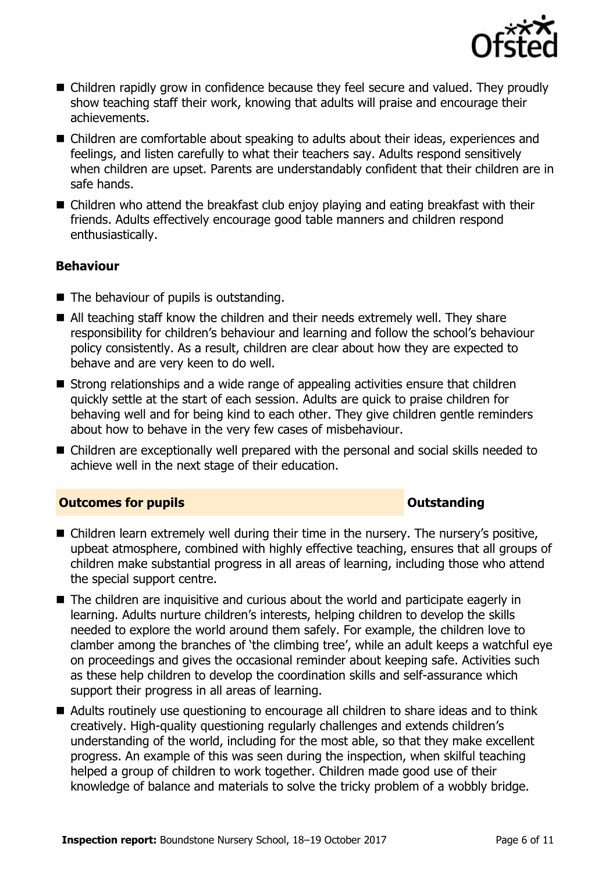

- Children rapidly grow in confidence because they feel secure and valued. They proudly show teaching staff their work, knowing that adults will praise and encourage their achievements.
- Children are comfortable about speaking to adults about their ideas, experiences and feelings, and listen carefully to what their teachers say. Adults respond sensitively when children are upset. Parents are understandably confident that their children are in safe hands.
- Children who attend the breakfast club enjoy playing and eating breakfast with their friends. Adults effectively encourage good table manners and children respond enthusiastically.

### **Behaviour**

- The behaviour of pupils is outstanding.
- All teaching staff know the children and their needs extremely well. They share responsibility for children's behaviour and learning and follow the school's behaviour policy consistently. As a result, children are clear about how they are expected to behave and are very keen to do well.
- Strong relationships and a wide range of appealing activities ensure that children quickly settle at the start of each session. Adults are quick to praise children for behaving well and for being kind to each other. They give children gentle reminders about how to behave in the very few cases of misbehaviour.
- Children are exceptionally well prepared with the personal and social skills needed to achieve well in the next stage of their education.

### **Outcomes for pupils Outstanding**

- Children learn extremely well during their time in the nursery. The nursery's positive, upbeat atmosphere, combined with highly effective teaching, ensures that all groups of children make substantial progress in all areas of learning, including those who attend the special support centre.
- The children are inquisitive and curious about the world and participate eagerly in learning. Adults nurture children's interests, helping children to develop the skills needed to explore the world around them safely. For example, the children love to clamber among the branches of 'the climbing tree', while an adult keeps a watchful eye on proceedings and gives the occasional reminder about keeping safe. Activities such as these help children to develop the coordination skills and self-assurance which support their progress in all areas of learning.
- Adults routinely use questioning to encourage all children to share ideas and to think creatively. High-quality questioning regularly challenges and extends children's understanding of the world, including for the most able, so that they make excellent progress. An example of this was seen during the inspection, when skilful teaching helped a group of children to work together. Children made good use of their knowledge of balance and materials to solve the tricky problem of a wobbly bridge.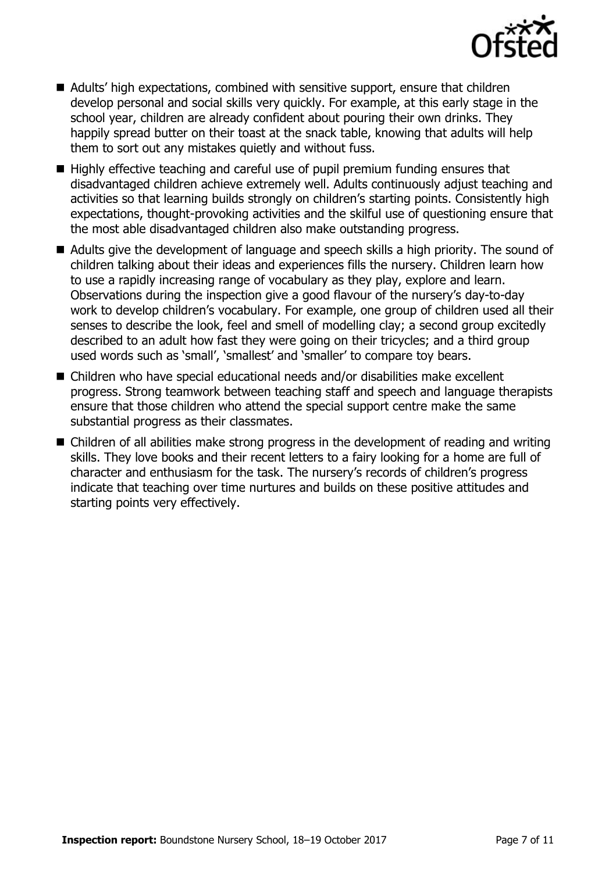

- Adults' high expectations, combined with sensitive support, ensure that children develop personal and social skills very quickly. For example, at this early stage in the school year, children are already confident about pouring their own drinks. They happily spread butter on their toast at the snack table, knowing that adults will help them to sort out any mistakes quietly and without fuss.
- Highly effective teaching and careful use of pupil premium funding ensures that disadvantaged children achieve extremely well. Adults continuously adjust teaching and activities so that learning builds strongly on children's starting points. Consistently high expectations, thought-provoking activities and the skilful use of questioning ensure that the most able disadvantaged children also make outstanding progress.
- Adults give the development of language and speech skills a high priority. The sound of children talking about their ideas and experiences fills the nursery. Children learn how to use a rapidly increasing range of vocabulary as they play, explore and learn. Observations during the inspection give a good flavour of the nursery's day-to-day work to develop children's vocabulary. For example, one group of children used all their senses to describe the look, feel and smell of modelling clay; a second group excitedly described to an adult how fast they were going on their tricycles; and a third group used words such as 'small', 'smallest' and 'smaller' to compare toy bears.
- Children who have special educational needs and/or disabilities make excellent progress. Strong teamwork between teaching staff and speech and language therapists ensure that those children who attend the special support centre make the same substantial progress as their classmates.
- Children of all abilities make strong progress in the development of reading and writing skills. They love books and their recent letters to a fairy looking for a home are full of character and enthusiasm for the task. The nursery's records of children's progress indicate that teaching over time nurtures and builds on these positive attitudes and starting points very effectively.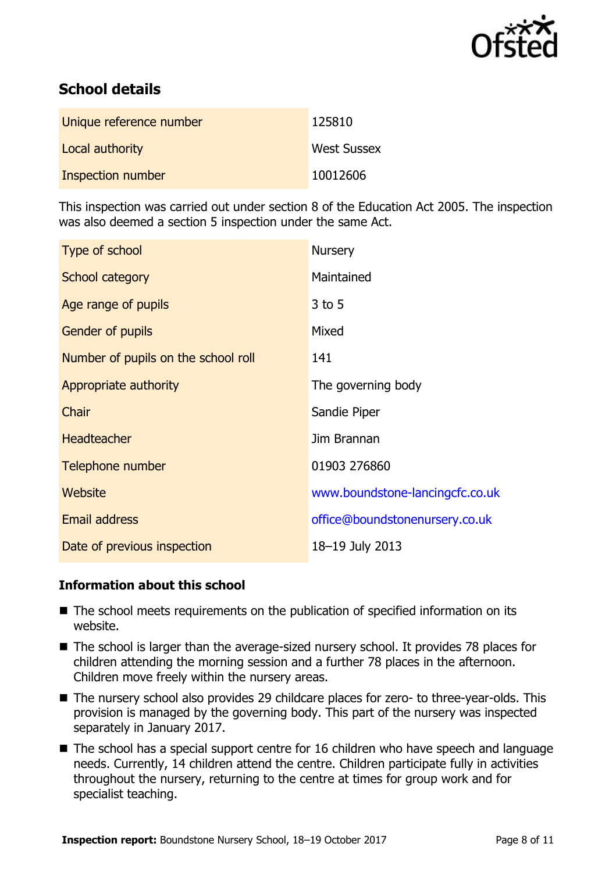

# **School details**

| Unique reference number | 125810             |
|-------------------------|--------------------|
| Local authority         | <b>West Sussex</b> |
| Inspection number       | 10012606           |

This inspection was carried out under section 8 of the Education Act 2005. The inspection was also deemed a section 5 inspection under the same Act.

| Type of school                      | <b>Nursery</b>                  |
|-------------------------------------|---------------------------------|
| School category                     | Maintained                      |
| Age range of pupils                 | $3$ to 5                        |
| <b>Gender of pupils</b>             | Mixed                           |
| Number of pupils on the school roll | 141                             |
| Appropriate authority               | The governing body              |
| Chair                               | Sandie Piper                    |
| <b>Headteacher</b>                  | Jim Brannan                     |
| Telephone number                    | 01903 276860                    |
| Website                             | www.boundstone-lancingcfc.co.uk |
| Email address                       | office@boundstonenursery.co.uk  |
| Date of previous inspection         | 18-19 July 2013                 |

### **Information about this school**

- The school meets requirements on the publication of specified information on its website.
- The school is larger than the average-sized nursery school. It provides 78 places for children attending the morning session and a further 78 places in the afternoon. Children move freely within the nursery areas.
- The nursery school also provides 29 childcare places for zero- to three-year-olds. This provision is managed by the governing body. This part of the nursery was inspected separately in January 2017.
- The school has a special support centre for 16 children who have speech and language needs. Currently, 14 children attend the centre. Children participate fully in activities throughout the nursery, returning to the centre at times for group work and for specialist teaching.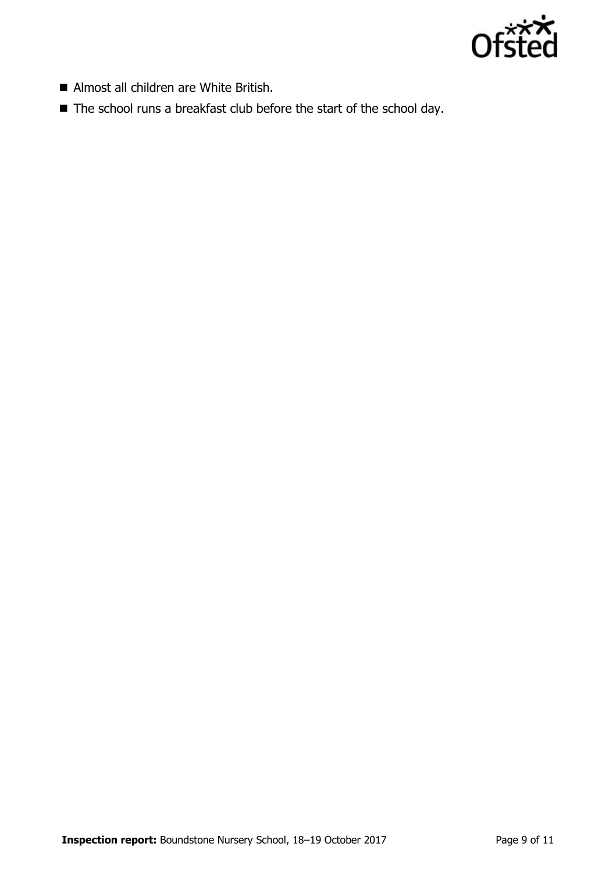

- Almost all children are White British.
- The school runs a breakfast club before the start of the school day.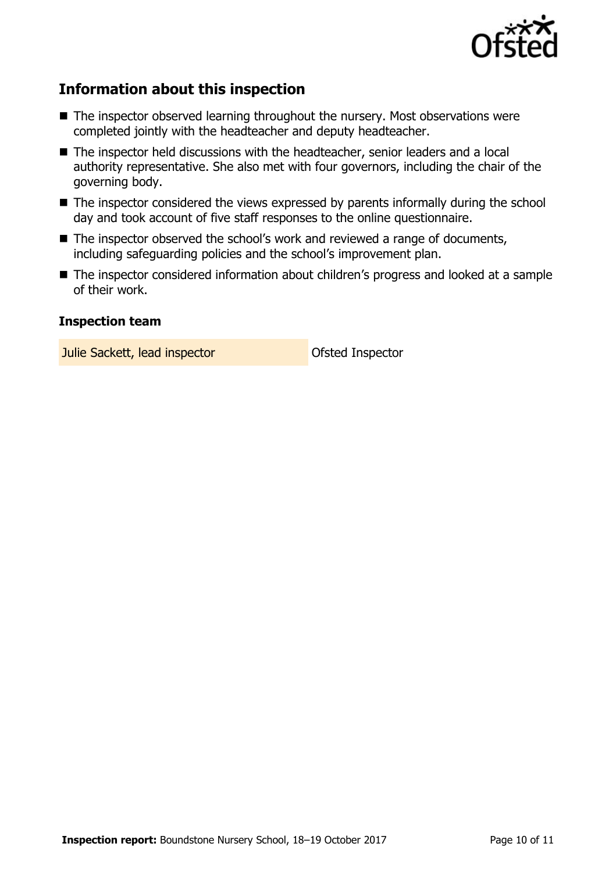

# **Information about this inspection**

- The inspector observed learning throughout the nursery. Most observations were completed jointly with the headteacher and deputy headteacher.
- The inspector held discussions with the headteacher, senior leaders and a local authority representative. She also met with four governors, including the chair of the governing body.
- The inspector considered the views expressed by parents informally during the school day and took account of five staff responses to the online questionnaire.
- The inspector observed the school's work and reviewed a range of documents, including safeguarding policies and the school's improvement plan.
- The inspector considered information about children's progress and looked at a sample of their work.

### **Inspection team**

**Julie Sackett, lead inspector Constanting Ofsted Inspector**